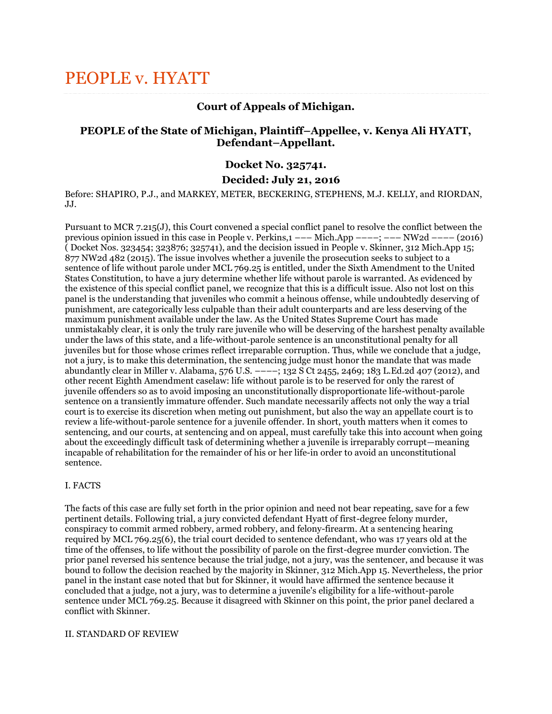# PEOPLE v. HYATT

# **Court of Appeals of Michigan.**

# **PEOPLE of the State of Michigan, Plaintiff–Appellee, v. Kenya Ali HYATT, Defendant–Appellant.**

## **Docket No. 325741.**

## **Decided: July 21, 2016**

Before: SHAPIRO, P.J., and MARKEY, METER, BECKERING, STEPHENS, M.J. KELLY, and RIORDAN, JJ.

Pursuant to MCR 7.215(J), this Court convened a special conflict panel to resolve the conflict between the previous opinion issued in this case in People v. Perkins,1 ––– Mich.App ––––; ––– NW2d –––– (2016) ( Docket Nos. 323454; 323876; 325741), and the decision issued in People v. Skinner, 312 Mich.App 15; 877 NW2d 482 (2015). The issue involves whether a juvenile the prosecution seeks to subject to a sentence of life without parole under MCL 769.25 is entitled, under the Sixth Amendment to the United States Constitution, to have a jury determine whether life without parole is warranted. As evidenced by the existence of this special conflict panel, we recognize that this is a difficult issue. Also not lost on this panel is the understanding that juveniles who commit a heinous offense, while undoubtedly deserving of punishment, are categorically less culpable than their adult counterparts and are less deserving of the maximum punishment available under the law. As the United States Supreme Court has made unmistakably clear, it is only the truly rare juvenile who will be deserving of the harshest penalty available under the laws of this state, and a life-without-parole sentence is an unconstitutional penalty for all juveniles but for those whose crimes reflect irreparable corruption. Thus, while we conclude that a judge, not a jury, is to make this determination, the sentencing judge must honor the mandate that was made abundantly clear in Miller v. Alabama, 576 U.S. ––––; 132 S Ct 2455, 2469; 183 L.Ed.2d 407 (2012), and other recent Eighth Amendment caselaw: life without parole is to be reserved for only the rarest of juvenile offenders so as to avoid imposing an unconstitutionally disproportionate life-without-parole sentence on a transiently immature offender. Such mandate necessarily affects not only the way a trial court is to exercise its discretion when meting out punishment, but also the way an appellate court is to review a life-without-parole sentence for a juvenile offender. In short, youth matters when it comes to sentencing, and our courts, at sentencing and on appeal, must carefully take this into account when going about the exceedingly difficult task of determining whether a juvenile is irreparably corrupt—meaning incapable of rehabilitation for the remainder of his or her life-in order to avoid an unconstitutional sentence.

## I. FACTS

The facts of this case are fully set forth in the prior opinion and need not bear repeating, save for a few pertinent details. Following trial, a jury convicted defendant Hyatt of first-degree felony murder, conspiracy to commit armed robbery, armed robbery, and felony-firearm. At a sentencing hearing required by MCL 769.25(6), the trial court decided to sentence defendant, who was 17 years old at the time of the offenses, to life without the possibility of parole on the first-degree murder conviction. The prior panel reversed his sentence because the trial judge, not a jury, was the sentencer, and because it was bound to follow the decision reached by the majority in Skinner, 312 Mich.App 15. Nevertheless, the prior panel in the instant case noted that but for Skinner, it would have affirmed the sentence because it concluded that a judge, not a jury, was to determine a juvenile's eligibility for a life-without-parole sentence under MCL 769.25. Because it disagreed with Skinner on this point, the prior panel declared a conflict with Skinner.

#### II. STANDARD OF REVIEW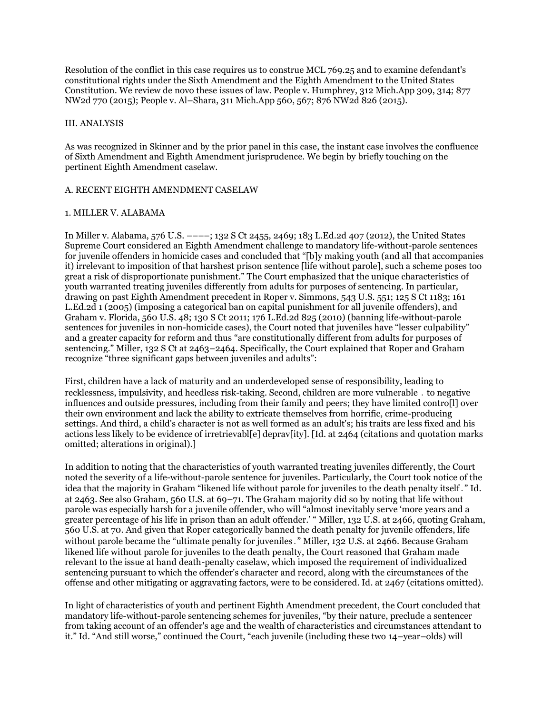Resolution of the conflict in this case requires us to construe MCL 769.25 and to examine defendant's constitutional rights under the Sixth Amendment and the Eighth Amendment to the United States Constitution. We review de novo these issues of law. People v. Humphrey, 312 Mich.App 309, 314; 877 NW2d 770 (2015); People v. Al–Shara, 311 Mich.App 560, 567; 876 NW2d 826 (2015).

#### III. ANALYSIS

As was recognized in Skinner and by the prior panel in this case, the instant case involves the confluence of Sixth Amendment and Eighth Amendment jurisprudence. We begin by briefly touching on the pertinent Eighth Amendment caselaw.

## A. RECENT EIGHTH AMENDMENT CASELAW

#### 1. MILLER V. ALABAMA

In Miller v. Alabama, 576 U.S. ––––; 132 S Ct 2455, 2469; 183 L.Ed.2d 407 (2012), the United States Supreme Court considered an Eighth Amendment challenge to mandatory life-without-parole sentences for juvenile offenders in homicide cases and concluded that "[b]y making youth (and all that accompanies it) irrelevant to imposition of that harshest prison sentence [life without parole], such a scheme poses too great a risk of disproportionate punishment." The Court emphasized that the unique characteristics of youth warranted treating juveniles differently from adults for purposes of sentencing. In particular, drawing on past Eighth Amendment precedent in Roper v. Simmons, 543 U.S. 551; 125 S Ct 1183; 161 L.Ed.2d 1 (2005) (imposing a categorical ban on capital punishment for all juvenile offenders), and Graham v. Florida, 560 U.S. 48; 130 S Ct 2011; 176 L.Ed.2d 825 (2010) (banning life-without-parole sentences for juveniles in non-homicide cases), the Court noted that juveniles have "lesser culpability" and a greater capacity for reform and thus "are constitutionally different from adults for purposes of sentencing." Miller, 132 S Ct at 2463–2464. Specifically, the Court explained that Roper and Graham recognize "three significant gaps between juveniles and adults":

First, children have a lack of maturity and an underdeveloped sense of responsibility, leading to recklessness, impulsivity, and heedless risk-taking. Second, children are more vulnerable ․ to negative influences and outside pressures, including from their family and peers; they have limited contro[l] over their own environment and lack the ability to extricate themselves from horrific, crime-producing settings. And third, a child's character is not as well formed as an adult's; his traits are less fixed and his actions less likely to be evidence of irretrievabl[e] deprav[ity]. [Id. at 2464 (citations and quotation marks omitted; alterations in original).]

In addition to noting that the characteristics of youth warranted treating juveniles differently, the Court noted the severity of a life-without-parole sentence for juveniles. Particularly, the Court took notice of the idea that the majority in Graham "likened life without parole for juveniles to the death penalty itself․" Id. at 2463. See also Graham, 560 U.S. at 69–71. The Graham majority did so by noting that life without parole was especially harsh for a juvenile offender, who will "almost inevitably serve 'more years and a greater percentage of his life in prison than an adult offender.' " Miller, 132 U.S. at 2466, quoting Graham, 560 U.S. at 70. And given that Roper categorically banned the death penalty for juvenile offenders, life without parole became the "ultimate penalty for juveniles." Miller, 132 U.S. at 2466. Because Graham likened life without parole for juveniles to the death penalty, the Court reasoned that Graham made relevant to the issue at hand death-penalty caselaw, which imposed the requirement of individualized sentencing pursuant to which the offender's character and record, along with the circumstances of the offense and other mitigating or aggravating factors, were to be considered. Id. at 2467 (citations omitted).

In light of characteristics of youth and pertinent Eighth Amendment precedent, the Court concluded that mandatory life-without-parole sentencing schemes for juveniles, "by their nature, preclude a sentencer from taking account of an offender's age and the wealth of characteristics and circumstances attendant to it." Id. "And still worse," continued the Court, "each juvenile (including these two 14–year–olds) will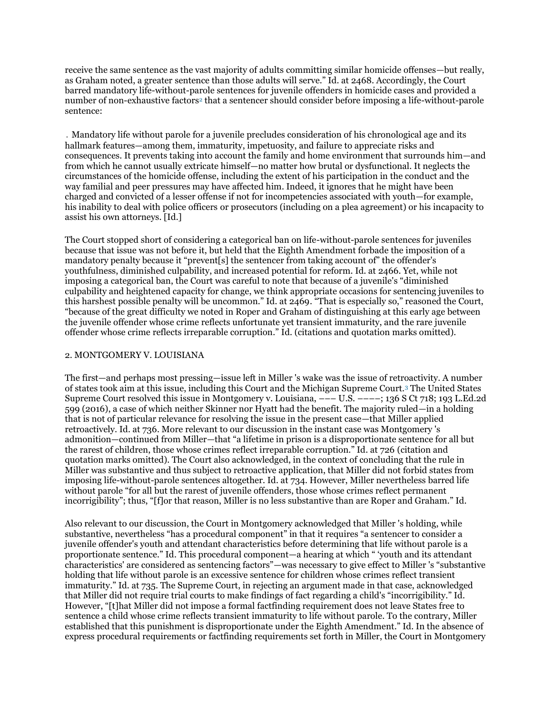receive the same sentence as the vast majority of adults committing similar homicide offenses—but really, as Graham noted, a greater sentence than those adults will serve." Id. at 2468. Accordingly, the Court barred mandatory life-without-parole sentences for juvenile offenders in homicide cases and provided a number of non-exhaustive factors<sup>[2](http://caselaw.findlaw.com/mi-court-of-appeals/1743357.html#footnote_2)</sup> that a sentencer should consider before imposing a life-without-parole sentence:

․ Mandatory life without parole for a juvenile precludes consideration of his chronological age and its hallmark features—among them, immaturity, impetuosity, and failure to appreciate risks and consequences. It prevents taking into account the family and home environment that surrounds him—and from which he cannot usually extricate himself—no matter how brutal or dysfunctional. It neglects the circumstances of the homicide offense, including the extent of his participation in the conduct and the way familial and peer pressures may have affected him. Indeed, it ignores that he might have been charged and convicted of a lesser offense if not for incompetencies associated with youth—for example, his inability to deal with police officers or prosecutors (including on a plea agreement) or his incapacity to assist his own attorneys. [Id.]

The Court stopped short of considering a categorical ban on life-without-parole sentences for juveniles because that issue was not before it, but held that the Eighth Amendment forbade the imposition of a mandatory penalty because it "prevent[s] the sentencer from taking account of" the offender's youthfulness, diminished culpability, and increased potential for reform. Id. at 2466. Yet, while not imposing a categorical ban, the Court was careful to note that because of a juvenile's "diminished culpability and heightened capacity for change, we think appropriate occasions for sentencing juveniles to this harshest possible penalty will be uncommon." Id. at 2469. "That is especially so," reasoned the Court, "because of the great difficulty we noted in Roper and Graham of distinguishing at this early age between the juvenile offender whose crime reflects unfortunate yet transient immaturity, and the rare juvenile offender whose crime reflects irreparable corruption." Id. (citations and quotation marks omitted).

#### 2. MONTGOMERY V. LOUISIANA

The first—and perhaps most pressing—issue left in Miller 's wake was the issue of retroactivity. A number of states took aim at this issue, including this Court and the Michigan Supreme Court.[3](http://caselaw.findlaw.com/mi-court-of-appeals/1743357.html#footnote_3) The United States Supreme Court resolved this issue in Montgomery v. Louisiana, ––– U.S. ––––; 136 S Ct 718; 193 L.Ed.2d 599 (2016), a case of which neither Skinner nor Hyatt had the benefit. The majority ruled—in a holding that is not of particular relevance for resolving the issue in the present case—that Miller applied retroactively. Id. at 736. More relevant to our discussion in the instant case was Montgomery 's admonition—continued from Miller—that "a lifetime in prison is a disproportionate sentence for all but the rarest of children, those whose crimes reflect irreparable corruption." Id. at 726 (citation and quotation marks omitted). The Court also acknowledged, in the context of concluding that the rule in Miller was substantive and thus subject to retroactive application, that Miller did not forbid states from imposing life-without-parole sentences altogether. Id. at 734. However, Miller nevertheless barred life without parole "for all but the rarest of juvenile offenders, those whose crimes reflect permanent incorrigibility"; thus, "[f]or that reason, Miller is no less substantive than are Roper and Graham." Id.

Also relevant to our discussion, the Court in Montgomery acknowledged that Miller 's holding, while substantive, nevertheless "has a procedural component" in that it requires "a sentencer to consider a juvenile offender's youth and attendant characteristics before determining that life without parole is a proportionate sentence." Id. This procedural component—a hearing at which " 'youth and its attendant characteristics' are considered as sentencing factors"—was necessary to give effect to Miller 's "substantive holding that life without parole is an excessive sentence for children whose crimes reflect transient immaturity." Id. at 735. The Supreme Court, in rejecting an argument made in that case, acknowledged that Miller did not require trial courts to make findings of fact regarding a child's "incorrigibility." Id. However, "[t]hat Miller did not impose a formal factfinding requirement does not leave States free to sentence a child whose crime reflects transient immaturity to life without parole. To the contrary, Miller established that this punishment is disproportionate under the Eighth Amendment." Id. In the absence of express procedural requirements or factfinding requirements set forth in Miller, the Court in Montgomery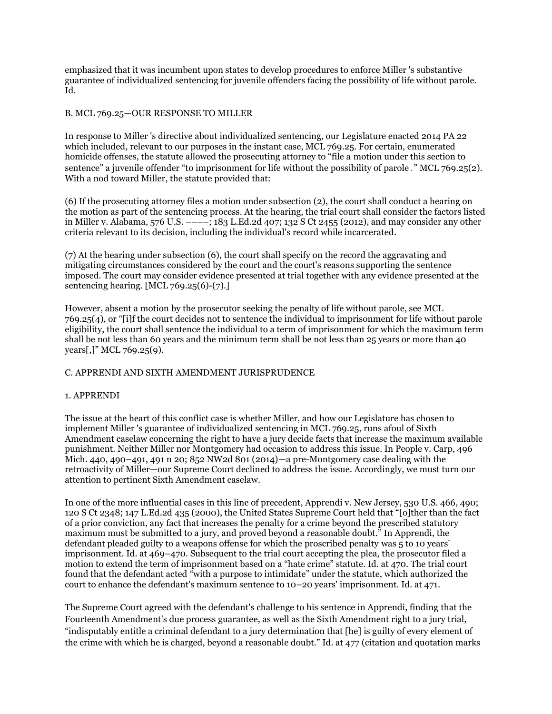emphasized that it was incumbent upon states to develop procedures to enforce Miller 's substantive guarantee of individualized sentencing for juvenile offenders facing the possibility of life without parole. Id.

## B. MCL 769.25—OUR RESPONSE TO MILLER

In response to Miller 's directive about individualized sentencing, our Legislature enacted 2014 PA 22 which included, relevant to our purposes in the instant case, MCL 769.25. For certain, enumerated homicide offenses, the statute allowed the prosecuting attorney to "file a motion under this section to sentence" a juvenile offender "to imprisonment for life without the possibility of parole․" MCL 769.25(2). With a nod toward Miller, the statute provided that:

(6) If the prosecuting attorney files a motion under subsection (2), the court shall conduct a hearing on the motion as part of the sentencing process. At the hearing, the trial court shall consider the factors listed in Miller v. Alabama, 576 U.S. ––––; 183 L.Ed.2d 407; 132 S Ct 2455 (2012), and may consider any other criteria relevant to its decision, including the individual's record while incarcerated.

(7) At the hearing under subsection (6), the court shall specify on the record the aggravating and mitigating circumstances considered by the court and the court's reasons supporting the sentence imposed. The court may consider evidence presented at trial together with any evidence presented at the sentencing hearing. [MCL 769.25(6)-(7).]

However, absent a motion by the prosecutor seeking the penalty of life without parole, see MCL 769.25(4), or "[i]f the court decides not to sentence the individual to imprisonment for life without parole eligibility, the court shall sentence the individual to a term of imprisonment for which the maximum term shall be not less than 60 years and the minimum term shall be not less than 25 years or more than 40 years[,]" MCL 769.25(9).

## C. APPRENDI AND SIXTH AMENDMENT JURISPRUDENCE

## 1. APPRENDI

The issue at the heart of this conflict case is whether Miller, and how our Legislature has chosen to implement Miller 's guarantee of individualized sentencing in MCL 769.25, runs afoul of Sixth Amendment caselaw concerning the right to have a jury decide facts that increase the maximum available punishment. Neither Miller nor Montgomery had occasion to address this issue. In People v. Carp, 496 Mich. 440, 490–491, 491 n 20; 852 NW2d 801 (2014)—a pre-Montgomery case dealing with the retroactivity of Miller—our Supreme Court declined to address the issue. Accordingly, we must turn our attention to pertinent Sixth Amendment caselaw.

In one of the more influential cases in this line of precedent, Apprendi v. New Jersey, 530 U.S. 466, 490; 120 S Ct 2348; 147 L.Ed.2d 435 (2000), the United States Supreme Court held that "[o]ther than the fact of a prior conviction, any fact that increases the penalty for a crime beyond the prescribed statutory maximum must be submitted to a jury, and proved beyond a reasonable doubt." In Apprendi, the defendant pleaded guilty to a weapons offense for which the proscribed penalty was 5 to 10 years' imprisonment. Id. at 469–470. Subsequent to the trial court accepting the plea, the prosecutor filed a motion to extend the term of imprisonment based on a "hate crime" statute. Id. at 470. The trial court found that the defendant acted "with a purpose to intimidate" under the statute, which authorized the court to enhance the defendant's maximum sentence to 10–20 years' imprisonment. Id. at 471.

The Supreme Court agreed with the defendant's challenge to his sentence in Apprendi, finding that the Fourteenth Amendment's due process guarantee, as well as the Sixth Amendment right to a jury trial, "indisputably entitle a criminal defendant to a jury determination that [he] is guilty of every element of the crime with which he is charged, beyond a reasonable doubt." Id. at 477 (citation and quotation marks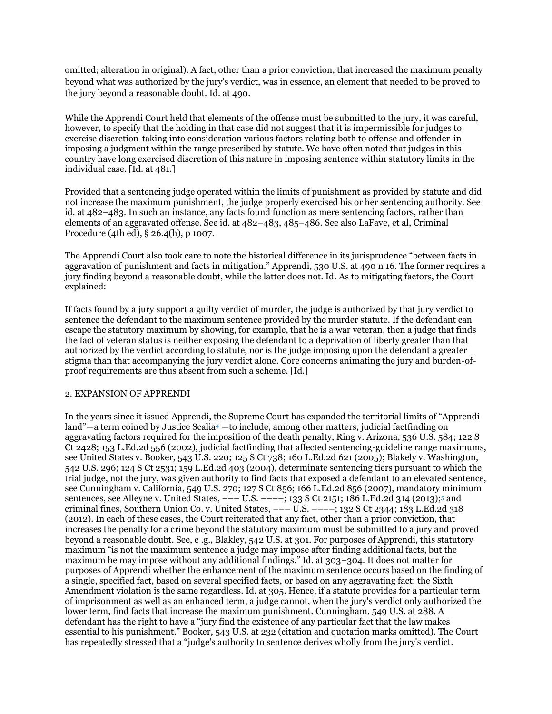omitted; alteration in original). A fact, other than a prior conviction, that increased the maximum penalty beyond what was authorized by the jury's verdict, was in essence, an element that needed to be proved to the jury beyond a reasonable doubt. Id. at 490.

While the Apprendi Court held that elements of the offense must be submitted to the jury, it was careful, however, to specify that the holding in that case did not suggest that it is impermissible for judges to exercise discretion-taking into consideration various factors relating both to offense and offender-in imposing a judgment within the range prescribed by statute. We have often noted that judges in this country have long exercised discretion of this nature in imposing sentence within statutory limits in the individual case. [Id. at 481.]

Provided that a sentencing judge operated within the limits of punishment as provided by statute and did not increase the maximum punishment, the judge properly exercised his or her sentencing authority. See id. at 482–483. In such an instance, any facts found function as mere sentencing factors, rather than elements of an aggravated offense. See id. at 482–483, 485–486. See also LaFave, et al, Criminal Procedure (4th ed), § 26.4(h), p 1007.

The Apprendi Court also took care to note the historical difference in its jurisprudence "between facts in aggravation of punishment and facts in mitigation." Apprendi, 530 U.S. at 490 n 16. The former requires a jury finding beyond a reasonable doubt, while the latter does not. Id. As to mitigating factors, the Court explained:

If facts found by a jury support a guilty verdict of murder, the judge is authorized by that jury verdict to sentence the defendant to the maximum sentence provided by the murder statute. If the defendant can escape the statutory maximum by showing, for example, that he is a war veteran, then a judge that finds the fact of veteran status is neither exposing the defendant to a deprivation of liberty greater than that authorized by the verdict according to statute, nor is the judge imposing upon the defendant a greater stigma than that accompanying the jury verdict alone. Core concerns animating the jury and burden-ofproof requirements are thus absent from such a scheme. [Id.]

## 2. EXPANSION OF APPRENDI

In the years since it issued Apprendi, the Supreme Court has expanded the territorial limits of "Apprendi-land"—a term coined by Justice Scalia<sup>[4](http://caselaw.findlaw.com/mi-court-of-appeals/1743357.html#footnote_4)</sup> —to include, among other matters, judicial factfinding on aggravating factors required for the imposition of the death penalty, Ring v. Arizona, 536 U.S. 584; 122 S Ct 2428; 153 L.Ed.2d 556 (2002), judicial factfinding that affected sentencing-guideline range maximums, see United States v. Booker, 543 U.S. 220; 125 S Ct 738; 160 L.Ed.2d 621 (2005); Blakely v. Washington, 542 U.S. 296; 124 S Ct 2531; 159 L.Ed.2d 403 (2004), determinate sentencing tiers pursuant to which the trial judge, not the jury, was given authority to find facts that exposed a defendant to an elevated sentence, see Cunningham v. California, 549 U.S. 270; 127 S Ct 856; 166 L.Ed.2d 856 (2007), mandatory minimum sentences, see Alleyne v. United States, --- U.S. ----[;](http://caselaw.findlaw.com/mi-court-of-appeals/1743357.html#footnote_5) 133 S Ct 2151; 186 L.Ed.2d 314 (2013);<sup>5</sup> and criminal fines, Southern Union Co. v. United States,  $---$  U.S.  $---$ ; 132 S Ct 2344; 183 L.Ed.2d 318 (2012). In each of these cases, the Court reiterated that any fact, other than a prior conviction, that increases the penalty for a crime beyond the statutory maximum must be submitted to a jury and proved beyond a reasonable doubt. See, e .g., Blakley, 542 U.S. at 301. For purposes of Apprendi, this statutory maximum "is not the maximum sentence a judge may impose after finding additional facts, but the maximum he may impose without any additional findings." Id. at 303–304. It does not matter for purposes of Apprendi whether the enhancement of the maximum sentence occurs based on the finding of a single, specified fact, based on several specified facts, or based on any aggravating fact: the Sixth Amendment violation is the same regardless. Id. at 305. Hence, if a statute provides for a particular term of imprisonment as well as an enhanced term, a judge cannot, when the jury's verdict only authorized the lower term, find facts that increase the maximum punishment. Cunningham, 549 U.S. at 288. A defendant has the right to have a "jury find the existence of any particular fact that the law makes essential to his punishment." Booker, 543 U.S. at 232 (citation and quotation marks omitted). The Court has repeatedly stressed that a "judge's authority to sentence derives wholly from the jury's verdict.